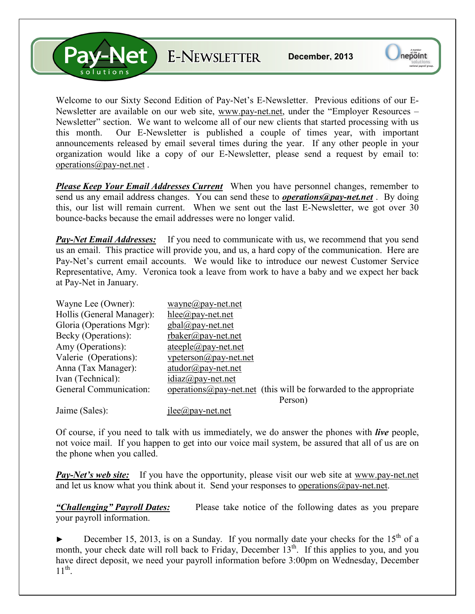Let E-NEWSLETTER

Welcome to our Sixty Second Edition of Pay-Net's E-Newsletter. Previous editions of our E-Newsletter are available on our web site, www.pay-net.net, under the "Employer Resources – Newsletter" section. We want to welcome all of our new clients that started processing with us this month. Our E-Newsletter is published a couple of times year, with important announcements released by email several times during the year. If any other people in your organization would like a copy of our E-Newsletter, please send a request by email to: operations@pay-net.net .

*Please Keep Your Email Addresses Current* When you have personnel changes, remember to send us any email address changes. You can send these to *operations@pay-net.net* . By doing this, our list will remain current. When we sent out the last E-Newsletter, we got over 30 bounce-backs because the email addresses were no longer valid.

*Pay-Net Email Addresses:* If you need to communicate with us, we recommend that you send us an email. This practice will provide you, and us, a hard copy of the communication. Here are Pay-Net's current email accounts. We would like to introduce our newest Customer Service Representative, Amy. Veronica took a leave from work to have a baby and we expect her back at Pay-Net in January.

| Wayne Lee (Owner):        | $wavne@pay-net.net$                                                        |
|---------------------------|----------------------------------------------------------------------------|
| Hollis (General Manager): | hlee@pay-net.net                                                           |
| Gloria (Operations Mgr):  | $gbal(\partial p$ ay-net.net                                               |
| Becky (Operations):       | $r$ baker@pay-net.net                                                      |
| Amy (Operations):         | $ateeple@pay-net.net$                                                      |
| Valerie (Operations):     | $v$ peterson $\omega$ pay-net.net                                          |
| Anna (Tax Manager):       | $atudor@pay-net.net$                                                       |
| Ivan (Technical):         | $idiaz(\omega)$ pay-net.net                                                |
| General Communication:    | operations $\omega$ pay-net net (this will be forwarded to the appropriate |
|                           | Person)                                                                    |
| Jaime (Sales):            | $i$ lee $\omega$ pay-net.net                                               |

Of course, if you need to talk with us immediately, we do answer the phones with *live* people, not voice mail. If you happen to get into our voice mail system, be assured that all of us are on the phone when you called.

*Pay-Net's web site:* If you have the opportunity, please visit our web site at www.pay-net.net and let us know what you think about it. Send your responses to operations  $\omega$  pay-net.net.

*"Challenging" Payroll Dates:* Please take notice of the following dates as you prepare your payroll information.

December 15, 2013, is on a Sunday. If you normally date your checks for the  $15<sup>th</sup>$  of a month, your check date will roll back to Friday, December  $13<sup>th</sup>$ . If this applies to you, and you have direct deposit, we need your payroll information before 3:00pm on Wednesday, December  $11^{\text{th}}$ .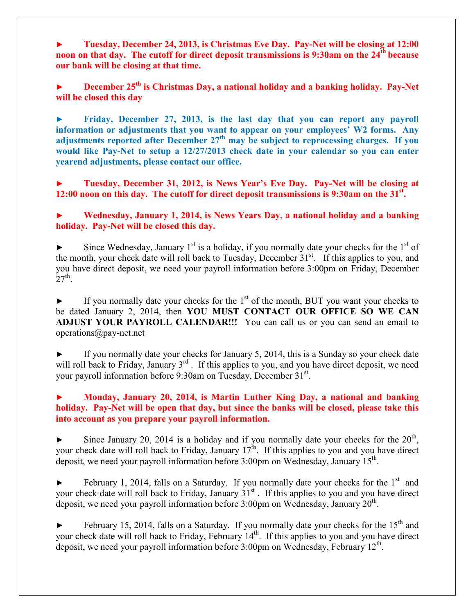► **Tuesday, December 24, 2013, is Christmas Eve Day. Pay-Net will be closing at 12:00 noon on that day. The cutoff for direct deposit transmissions is 9:30am on the 24th because our bank will be closing at that time.**

**► December 25th is Christmas Day, a national holiday and a banking holiday. Pay-Net will be closed this day** 

**► Friday, December 27, 2013, is the last day that you can report any payroll information or adjustments that you want to appear on your employees' W2 forms. Any adjustments reported after December 27th may be subject to reprocessing charges. If you would like Pay-Net to setup a 12/27/2013 check date in your calendar so you can enter yearend adjustments, please contact our office.** 

**► Tuesday, December 31, 2012, is News Year's Eve Day. Pay-Net will be closing at 12:00 noon on this day. The cutoff for direct deposit transmissions is 9:30am on the 31st .** 

**► Wednesday, January 1, 2014, is News Years Day, a national holiday and a banking holiday. Pay-Net will be closed this day.** 

Since Wednesday, January  $1<sup>st</sup>$  is a holiday, if you normally date your checks for the  $1<sup>st</sup>$  of the month, your check date will roll back to Tuesday, December  $31<sup>st</sup>$ . If this applies to you, and you have direct deposit, we need your payroll information before 3:00pm on Friday, December  $27<sup>th</sup>$ .

 $\blacktriangleright$  If you normally date your checks for the 1<sup>st</sup> of the month, BUT you want your checks to be dated January 2, 2014, then **YOU MUST CONTACT OUR OFFICE SO WE CAN ADJUST YOUR PAYROLL CALENDAR!!!** You can call us or you can send an email to operations@pay-net.net

If you normally date your checks for January 5, 2014, this is a Sunday so your check date will roll back to Friday, January 3<sup>rd</sup>. If this applies to you, and you have direct deposit, we need your payroll information before 9:30am on Tuesday, December 31<sup>st</sup>.

## **► Monday, January 20, 2014, is Martin Luther King Day, a national and banking holiday. Pay-Net will be open that day, but since the banks will be closed, please take this into account as you prepare your payroll information.**

 $\blacktriangleright$  Since January 20, 2014 is a holiday and if you normally date your checks for the  $20<sup>th</sup>$ , your check date will roll back to Friday, January  $17^{\text{th}}$ . If this applies to you and you have direct deposit, we need your payroll information before 3:00pm on Wednesday, January 15<sup>th</sup>.

 $\blacktriangleright$  February 1, 2014, falls on a Saturday. If you normally date your checks for the 1<sup>st</sup> and your check date will roll back to Friday, January 31<sup>st</sup>. If this applies to you and you have direct deposit, we need your payroll information before  $3:00$ pm on Wednesday, January  $20<sup>th</sup>$ .

February 15, 2014, falls on a Saturday. If you normally date your checks for the  $15<sup>th</sup>$  and your check date will roll back to Friday, February 14<sup>th</sup>. If this applies to you and you have direct deposit, we need your payroll information before  $3:00 \text{pm}$  on Wednesday, February  $12^{\text{th}}$ .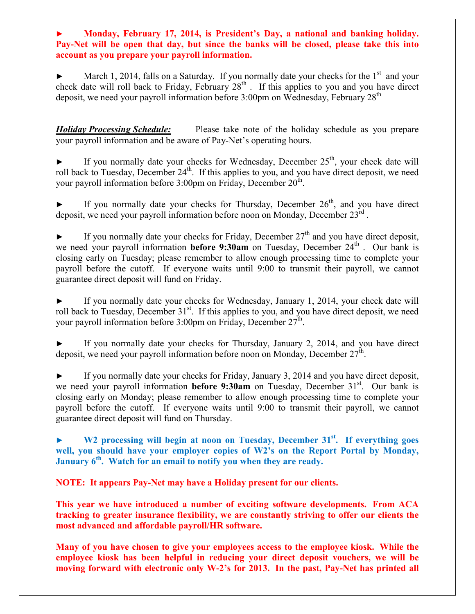**► Monday, February 17, 2014, is President's Day, a national and banking holiday. Pay-Net will be open that day, but since the banks will be closed, please take this into account as you prepare your payroll information.** 

March 1, 2014, falls on a Saturday. If you normally date your checks for the  $1<sup>st</sup>$  and your check date will roll back to Friday, February  $28<sup>th</sup>$ . If this applies to you and you have direct deposit, we need your payroll information before 3:00pm on Wednesday, February 28<sup>th</sup>

*Holiday Processing Schedule:* Please take note of the holiday schedule as you prepare your payroll information and be aware of Pay-Net's operating hours.

If you normally date your checks for Wednesday, December  $25<sup>th</sup>$ , your check date will roll back to Tuesday, December 24<sup>th</sup>. If this applies to you, and you have direct deposit, we need your payroll information before  $3:00$ pm on Friday, December  $20^{\text{th}}$ .

If you normally date your checks for Thursday, December  $26<sup>th</sup>$ , and you have direct deposit, we need your payroll information before noon on Monday, December 23rd.

 $\blacktriangleright$  If you normally date your checks for Friday, December 27<sup>th</sup> and you have direct deposit, we need your payroll information **before 9:30am** on Tuesday, December  $24<sup>th</sup>$ . Our bank is closing early on Tuesday; please remember to allow enough processing time to complete your payroll before the cutoff. If everyone waits until 9:00 to transmit their payroll, we cannot guarantee direct deposit will fund on Friday.

If you normally date your checks for Wednesday, January 1, 2014, your check date will roll back to Tuesday, December 31<sup>st</sup>. If this applies to you, and you have direct deposit, we need your payroll information before 3:00pm on Friday, December  $27^{\text{th}}$ .

If you normally date your checks for Thursday, January 2, 2014, and you have direct deposit, we need your payroll information before noon on Monday, December  $27^{\text{th}}$ .

If you normally date your checks for Friday, January 3, 2014 and you have direct deposit, we need your payroll information **before 9:30am** on Tuesday, December 31<sup>st</sup>. Our bank is closing early on Monday; please remember to allow enough processing time to complete your payroll before the cutoff. If everyone waits until 9:00 to transmit their payroll, we cannot guarantee direct deposit will fund on Thursday.

**► W2 processing will begin at noon on Tuesday, December 31st. If everything goes**  well, you should have your employer copies of W2's on the Report Portal by Monday, **January 6th. Watch for an email to notify you when they are ready.** 

**NOTE: It appears Pay-Net may have a Holiday present for our clients.** 

**This year we have introduced a number of exciting software developments. From ACA tracking to greater insurance flexibility, we are constantly striving to offer our clients the most advanced and affordable payroll/HR software.** 

**Many of you have chosen to give your employees access to the employee kiosk. While the employee kiosk has been helpful in reducing your direct deposit vouchers, we will be moving forward with electronic only W-2's for 2013. In the past, Pay-Net has printed all**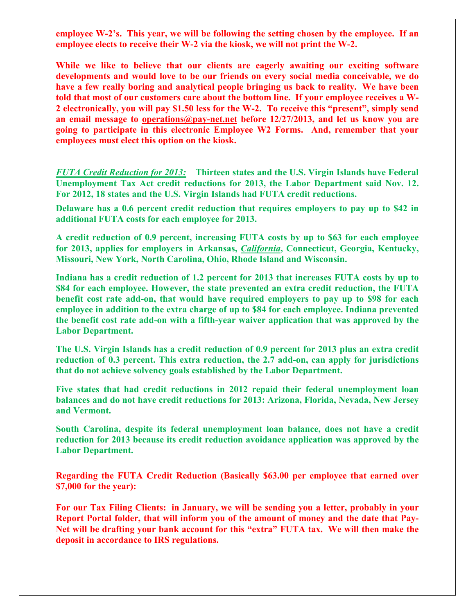**employee W-2's. This year, we will be following the setting chosen by the employee. If an employee elects to receive their W-2 via the kiosk, we will not print the W-2.** 

**While we like to believe that our clients are eagerly awaiting our exciting software developments and would love to be our friends on every social media conceivable, we do have a few really boring and analytical people bringing us back to reality. We have been told that most of our customers care about the bottom line. If your employee receives a W-2 electronically, you will pay \$1.50 less for the W-2. To receive this "present", simply send an email message to operations@pay-net.net before 12/27/2013, and let us know you are going to participate in this electronic Employee W2 Forms. And, remember that your employees must elect this option on the kiosk.** 

*FUTA Credit Reduction for 2013:* **Thirteen states and the U.S. Virgin Islands have Federal Unemployment Tax Act credit reductions for 2013, the Labor Department said Nov. 12. For 2012, 18 states and the U.S. Virgin Islands had FUTA credit reductions.** 

**Delaware has a 0.6 percent credit reduction that requires employers to pay up to \$42 in additional FUTA costs for each employee for 2013.** 

**A credit reduction of 0.9 percent, increasing FUTA costs by up to \$63 for each employee for 2013, applies for employers in Arkansas,** *California***, Connecticut, Georgia, Kentucky, Missouri, New York, North Carolina, Ohio, Rhode Island and Wisconsin.** 

**Indiana has a credit reduction of 1.2 percent for 2013 that increases FUTA costs by up to \$84 for each employee. However, the state prevented an extra credit reduction, the FUTA benefit cost rate add-on, that would have required employers to pay up to \$98 for each employee in addition to the extra charge of up to \$84 for each employee. Indiana prevented the benefit cost rate add-on with a fifth-year waiver application that was approved by the Labor Department.** 

**The U.S. Virgin Islands has a credit reduction of 0.9 percent for 2013 plus an extra credit reduction of 0.3 percent. This extra reduction, the 2.7 add-on, can apply for jurisdictions that do not achieve solvency goals established by the Labor Department.** 

**Five states that had credit reductions in 2012 repaid their federal unemployment loan balances and do not have credit reductions for 2013: Arizona, Florida, Nevada, New Jersey and Vermont.** 

**South Carolina, despite its federal unemployment loan balance, does not have a credit reduction for 2013 because its credit reduction avoidance application was approved by the Labor Department.** 

**Regarding the FUTA Credit Reduction (Basically \$63.00 per employee that earned over \$7,000 for the year):** 

**For our Tax Filing Clients: in January, we will be sending you a letter, probably in your Report Portal folder, that will inform you of the amount of money and the date that Pay-Net will be drafting your bank account for this "extra" FUTA tax. We will then make the deposit in accordance to IRS regulations.**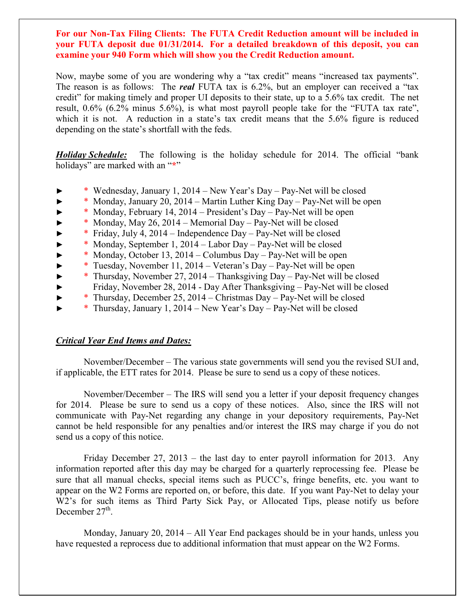**For our Non-Tax Filing Clients: The FUTA Credit Reduction amount will be included in your FUTA deposit due 01/31/2014. For a detailed breakdown of this deposit, you can examine your 940 Form which will show you the Credit Reduction amount.** 

Now, maybe some of you are wondering why a "tax credit" means "increased tax payments". The reason is as follows: The *real* FUTA tax is 6.2%, but an employer can received a "tax credit" for making timely and proper UI deposits to their state, up to a 5.6% tax credit. The net result, 0.6% (6.2% minus 5.6%), is what most payroll people take for the "FUTA tax rate", which it is not. A reduction in a state's tax credit means that the 5.6% figure is reduced depending on the state's shortfall with the feds.

*Holiday Schedule:* The following is the holiday schedule for 2014. The official "bank holidays" are marked with an "**\***"

- ► \* Wednesday, January 1, 2014 New Year's Day Pay-Net will be closed
- $*$  Monday, January 20, 2014 Martin Luther King Day Pay-Net will be open
- $*$  Monday, February 14, 2014 President's Day Pay-Net will be open
- $*$  Monday, May 26, 2014 Memorial Day Pay-Net will be closed
- ► \* Friday, July 4, 2014 Independence Day Pay-Net will be closed
- ► \* Monday, September 1, 2014 Labor Day Pay-Net will be closed
- $*$  Monday, October 13, 2014 Columbus Day Pay-Net will be open
- ► \* Tuesday, November 11, 2014 Veteran's Day Pay-Net will be open
- ► \* Thursday, November 27, 2014 Thanksgiving Day Pay-Net will be closed
- ► Friday, November 28, 2014 Day After Thanksgiving Pay-Net will be closed
- ► \* Thursday, December 25, 2014 Christmas Day Pay-Net will be closed
- ► \* Thursday, January 1, 2014 New Year's Day Pay-Net will be closed

## *Critical Year End Items and Dates:*

 November/December – The various state governments will send you the revised SUI and, if applicable, the ETT rates for 2014. Please be sure to send us a copy of these notices.

 November/December – The IRS will send you a letter if your deposit frequency changes for 2014. Please be sure to send us a copy of these notices. Also, since the IRS will not communicate with Pay-Net regarding any change in your depository requirements, Pay-Net cannot be held responsible for any penalties and/or interest the IRS may charge if you do not send us a copy of this notice.

 Friday December 27, 2013 – the last day to enter payroll information for 2013. Any information reported after this day may be charged for a quarterly reprocessing fee. Please be sure that all manual checks, special items such as PUCC's, fringe benefits, etc. you want to appear on the W2 Forms are reported on, or before, this date. If you want Pay-Net to delay your W<sub>2</sub>'s for such items as Third Party Sick Pay, or Allocated Tips, please notify us before December  $27<sup>th</sup>$ .

 Monday, January 20, 2014 – All Year End packages should be in your hands, unless you have requested a reprocess due to additional information that must appear on the W2 Forms.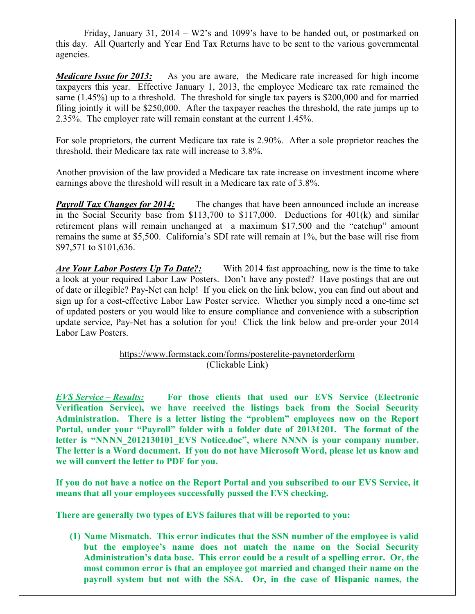Friday, January 31, 2014 – W2's and 1099's have to be handed out, or postmarked on this day. All Quarterly and Year End Tax Returns have to be sent to the various governmental agencies.

*Medicare Issue for 2013:* As you are aware, the Medicare rate increased for high income taxpayers this year. Effective January 1, 2013, the employee Medicare tax rate remained the same (1.45%) up to a threshold. The threshold for single tax payers is \$200,000 and for married filing jointly it will be \$250,000. After the taxpayer reaches the threshold, the rate jumps up to 2.35%. The employer rate will remain constant at the current 1.45%.

For sole proprietors, the current Medicare tax rate is 2.90%. After a sole proprietor reaches the threshold, their Medicare tax rate will increase to 3.8%.

Another provision of the law provided a Medicare tax rate increase on investment income where earnings above the threshold will result in a Medicare tax rate of 3.8%.

*Payroll Tax Changes for 2014:* The changes that have been announced include an increase in the Social Security base from \$113,700 to \$117,000. Deductions for 401(k) and similar retirement plans will remain unchanged at a maximum \$17,500 and the "catchup" amount remains the same at \$5,500. California's SDI rate will remain at 1%, but the base will rise from \$97,571 to \$101,636.

*Are Your Labor Posters Up To Date?*: With 2014 fast approaching, now is the time to take a look at your required Labor Law Posters. Don't have any posted? Have postings that are out of date or illegible? Pay-Net can help! If you click on the link below, you can find out about and sign up for a cost-effective Labor Law Poster service. Whether you simply need a one-time set of updated posters or you would like to ensure compliance and convenience with a subscription update service, Pay-Net has a solution for you! Click the link below and pre-order your 2014 Labor Law Posters.

## https://www.formstack.com/forms/posterelite-paynetorderform (Clickable Link)

*EVS Service – Results:* **For those clients that used our EVS Service (Electronic Verification Service), we have received the listings back from the Social Security Administration. There is a letter listing the "problem" employees now on the Report Portal, under your "Payroll" folder with a folder date of 20131201. The format of the**  letter is "NNNN 2012130101 EVS Notice.doc", where NNNN is your company number. **The letter is a Word document. If you do not have Microsoft Word, please let us know and we will convert the letter to PDF for you.** 

**If you do not have a notice on the Report Portal and you subscribed to our EVS Service, it means that all your employees successfully passed the EVS checking.** 

**There are generally two types of EVS failures that will be reported to you:** 

**(1) Name Mismatch. This error indicates that the SSN number of the employee is valid but the employee's name does not match the name on the Social Security Administration's data base. This error could be a result of a spelling error. Or, the most common error is that an employee got married and changed their name on the payroll system but not with the SSA. Or, in the case of Hispanic names, the**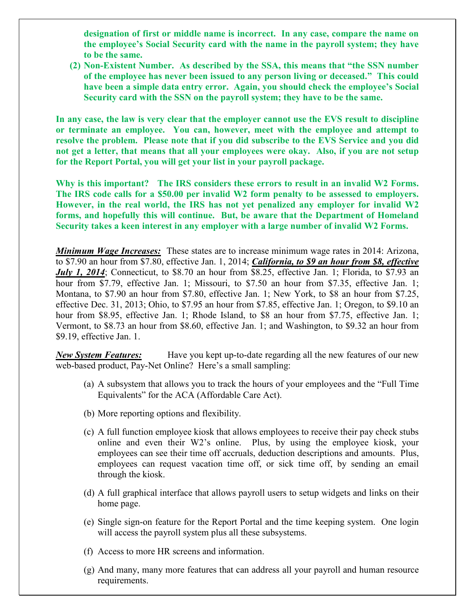**designation of first or middle name is incorrect. In any case, compare the name on the employee's Social Security card with the name in the payroll system; they have to be the same.** 

**(2) Non-Existent Number. As described by the SSA, this means that "the SSN number of the employee has never been issued to any person living or deceased." This could have been a simple data entry error. Again, you should check the employee's Social Security card with the SSN on the payroll system; they have to be the same.** 

**In any case, the law is very clear that the employer cannot use the EVS result to discipline or terminate an employee. You can, however, meet with the employee and attempt to resolve the problem. Please note that if you did subscribe to the EVS Service and you did not get a letter, that means that all your employees were okay. Also, if you are not setup for the Report Portal, you will get your list in your payroll package.** 

**Why is this important? The IRS considers these errors to result in an invalid W2 Forms. The IRS code calls for a \$50.00 per invalid W2 form penalty to be assessed to employers. However, in the real world, the IRS has not yet penalized any employer for invalid W2 forms, and hopefully this will continue. But, be aware that the Department of Homeland Security takes a keen interest in any employer with a large number of invalid W2 Forms.** 

*Minimum Wage Increases:* These states are to increase minimum wage rates in 2014: Arizona, to \$7.90 an hour from \$7.80, effective Jan. 1, 2014; *California, to \$9 an hour from \$8, effective July 1, 2014*; Connecticut, to \$8.70 an hour from \$8.25, effective Jan. 1; Florida, to \$7.93 an hour from \$7.79, effective Jan. 1; Missouri, to \$7.50 an hour from \$7.35, effective Jan. 1; Montana, to \$7.90 an hour from \$7.80, effective Jan. 1; New York, to \$8 an hour from \$7.25, effective Dec. 31, 2013; Ohio, to \$7.95 an hour from \$7.85, effective Jan. 1; Oregon, to \$9.10 an hour from \$8.95, effective Jan. 1; Rhode Island, to \$8 an hour from \$7.75, effective Jan. 1; Vermont, to \$8.73 an hour from \$8.60, effective Jan. 1; and Washington, to \$9.32 an hour from \$9.19, effective Jan. 1.

*New System Features:* Have you kept up-to-date regarding all the new features of our new web-based product, Pay-Net Online? Here's a small sampling:

- (a) A subsystem that allows you to track the hours of your employees and the "Full Time Equivalents" for the ACA (Affordable Care Act).
- (b) More reporting options and flexibility.
- (c) A full function employee kiosk that allows employees to receive their pay check stubs online and even their W2's online. Plus, by using the employee kiosk, your employees can see their time off accruals, deduction descriptions and amounts. Plus, employees can request vacation time off, or sick time off, by sending an email through the kiosk.
- (d) A full graphical interface that allows payroll users to setup widgets and links on their home page.
- (e) Single sign-on feature for the Report Portal and the time keeping system. One login will access the payroll system plus all these subsystems.
- (f) Access to more HR screens and information.
- (g) And many, many more features that can address all your payroll and human resource requirements.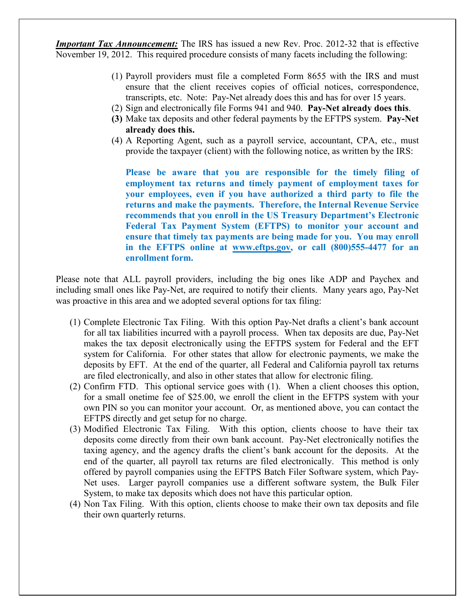*Important Tax Announcement:* The IRS has issued a new Rev. Proc. 2012-32 that is effective November 19, 2012. This required procedure consists of many facets including the following:

- (1) Payroll providers must file a completed Form 8655 with the IRS and must ensure that the client receives copies of official notices, correspondence, transcripts, etc. Note: Pay-Net already does this and has for over 15 years.
- (2) Sign and electronically file Forms 941 and 940. **Pay-Net already does this**.
- **(3)** Make tax deposits and other federal payments by the EFTPS system. **Pay-Net already does this.**
- (4) A Reporting Agent, such as a payroll service, accountant, CPA, etc., must provide the taxpayer (client) with the following notice, as written by the IRS:

**Please be aware that you are responsible for the timely filing of employment tax returns and timely payment of employment taxes for your employees, even if you have authorized a third party to file the returns and make the payments. Therefore, the Internal Revenue Service recommends that you enroll in the US Treasury Department's Electronic Federal Tax Payment System (EFTPS) to monitor your account and ensure that timely tax payments are being made for you. You may enroll in the EFTPS online at www.eftps.gov, or call (800)555-4477 for an enrollment form.** 

Please note that ALL payroll providers, including the big ones like ADP and Paychex and including small ones like Pay-Net, are required to notify their clients. Many years ago, Pay-Net was proactive in this area and we adopted several options for tax filing:

- (1) Complete Electronic Tax Filing. With this option Pay-Net drafts a client's bank account for all tax liabilities incurred with a payroll process. When tax deposits are due, Pay-Net makes the tax deposit electronically using the EFTPS system for Federal and the EFT system for California. For other states that allow for electronic payments, we make the deposits by EFT. At the end of the quarter, all Federal and California payroll tax returns are filed electronically, and also in other states that allow for electronic filing.
- (2) Confirm FTD. This optional service goes with (1). When a client chooses this option, for a small onetime fee of \$25.00, we enroll the client in the EFTPS system with your own PIN so you can monitor your account. Or, as mentioned above, you can contact the EFTPS directly and get setup for no charge.
- (3) Modified Electronic Tax Filing. With this option, clients choose to have their tax deposits come directly from their own bank account. Pay-Net electronically notifies the taxing agency, and the agency drafts the client's bank account for the deposits. At the end of the quarter, all payroll tax returns are filed electronically. This method is only offered by payroll companies using the EFTPS Batch Filer Software system, which Pay-Net uses. Larger payroll companies use a different software system, the Bulk Filer System, to make tax deposits which does not have this particular option.
- (4) Non Tax Filing. With this option, clients choose to make their own tax deposits and file their own quarterly returns.